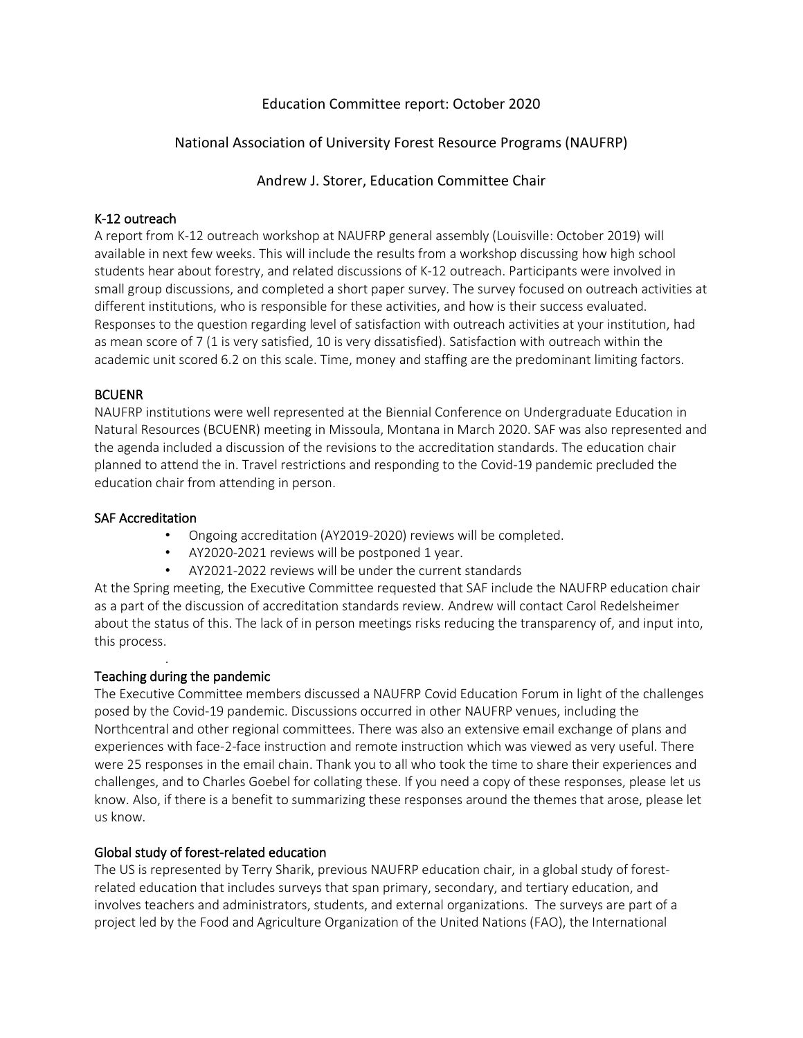# Education Committee report: October 2020

# National Association of University Forest Resource Programs (NAUFRP)

Andrew J. Storer, Education Committee Chair

## K-12 outreach

A report from K-12 outreach workshop at NAUFRP general assembly (Louisville: October 2019) will available in next few weeks. This will include the results from a workshop discussing how high school students hear about forestry, and related discussions of K-12 outreach. Participants were involved in small group discussions, and completed a short paper survey. The survey focused on outreach activities at different institutions, who is responsible for these activities, and how is their success evaluated. Responses to the question regarding level of satisfaction with outreach activities at your institution, had as mean score of 7 (1 is very satisfied, 10 is very dissatisfied). Satisfaction with outreach within the academic unit scored 6.2 on this scale. Time, money and staffing are the predominant limiting factors.

### BCUENR

NAUFRP institutions were well represented at the Biennial Conference on Undergraduate Education in Natural Resources (BCUENR) meeting in Missoula, Montana in March 2020. SAF was also represented and the agenda included a discussion of the revisions to the accreditation standards. The education chair planned to attend the in. Travel restrictions and responding to the Covid-19 pandemic precluded the education chair from attending in person.

### SAF Accreditation

- Ongoing accreditation (AY2019-2020) reviews will be completed.
- AY2020-2021 reviews will be postponed 1 year.
- AY2021-2022 reviews will be under the current standards

At the Spring meeting, the Executive Committee requested that SAF include the NAUFRP education chair as a part of the discussion of accreditation standards review. Andrew will contact Carol Redelsheimer about the status of this. The lack of in person meetings risks reducing the transparency of, and input into, this process.

### Teaching during the pandemic

.

The Executive Committee members discussed a NAUFRP Covid Education Forum in light of the challenges posed by the Covid-19 pandemic. Discussions occurred in other NAUFRP venues, including the Northcentral and other regional committees. There was also an extensive email exchange of plans and experiences with face-2-face instruction and remote instruction which was viewed as very useful. There were 25 responses in the email chain. Thank you to all who took the time to share their experiences and challenges, and to Charles Goebel for collating these. If you need a copy of these responses, please let us know. Also, if there is a benefit to summarizing these responses around the themes that arose, please let us know.

## Global study of forest-related education

The US is represented by Terry Sharik, previous NAUFRP education chair, in a global study of forestrelated education that includes surveys that span primary, secondary, and tertiary education, and involves teachers and administrators, students, and external organizations. The surveys are part of a project led by the Food and Agriculture Organization of the United Nations (FAO), the International